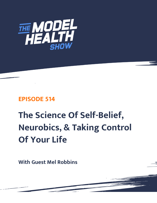

## **EPISODE 514**

# **The Science Of Self-Belief, Neurobics, & Taking Control Of Your Life**

**With Guest Mel Robbins**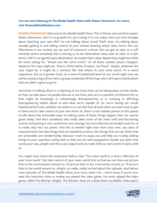### **You are now listening to The Model Health Show with Shawn Stevenson. For more, visit themodelhealthshow.com.**

**SHAWN STEVENSON:** Welcome to the Model Health Show. This is fitness and nutrition expert, Shawn Stevenson, and I'm so grateful for you tuning in to me today. Have you ever thought about hijacking your own life? I'm not talking about Grand Theft Auto. I'm talking about actually getting in and taking control of your mental steering wheel. Now, here's the rub. Oftentimes in our society, we can sort of outsource a driver. We can get an Uber or a Lyft mentally where somebody else is driving us to the destination. Now, with an Uber or a Lyft, there's still it's an agreed-upon destination. So maybe that's okay. Maybe they might be a little bit weird asking for, "Would you like some mints?" Or all these random phone chargers, whatever the case might be. "Here's a little bottle of water, my friend." Alright, whatever the case might be. It might be a scenario like that where it's just some weird, it's a weird experience. But on a greater level, on a more foundational level for our world right now, we can be outsourcing a driver who is going completely off the map, who's driving to a destination that you didn't agree to go to.

And what I'm talking about is a hijacking of our brain that can be taking place via the media. Or that can take place via people who are in our lives, who are in a position of influence for us that might be knowingly or unknowingly disempowering us in creating or affirming disempowering beliefs about us and what we're capable of. So, we're having our minds hijacked all the time, whether we realize it or not. But that all ends when you learn how to get in there and to take control of your own mind. So, there is not a better person on the planet to talk about the actionable ways of making some of these things happen than our special guest today. And she's somebody who really takes some of the most solid and fascinating science and putting it into, sometimes very strange, but very effective actionable tools for us to really step into our power. And this is needed right now more than ever, any dose of empowerment, but also things that are backed by science, also things that we can utilize that are actionable, are needed today. Because I want to equip you and help you to keep adding things to your superhero utility belt so that you are well equipped to handle any joker that comes your way, alright. And this is our opportunity to really shift our own world. It starts with us.

You might have heard this statement before, that "The outer world is a direct reflection of your inner world." But take control of your inner world first so that we can then out-picture that to the environment around us. I'll picture that to the community around us. I'll picture that to the world around us. Alright, so really, really excited about this episode. And before most episodes of The Model Health Show, true story, what I do... I don't know if you've ever seen this television show or maybe you played the video game, I've never played the video game, called The Witcher. Alright, The Witcher. Now, it's a show that's on Netflix. They took it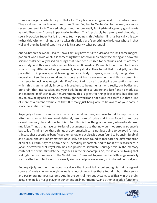from a video game, which they do that a lot. They take a video game and turn it into a movie. They've done that with everything from Street Fighter to Mortal Combat as well, is a more recent one, and Sonic The Hedgehog is another one really family-friendly, pretty good movie as well. They haven't done Super Mario Brothers. That'd probably be a pretty weird movie, to see a live-action Super Mario Brothers. But my point is, this Witcher film, it's basically this guy, he has this Witcher training, but he takes this little vial of something, who knows what's in that vial, and then he kind of taps into this is his super Witcher potential.

And so, before the Model Health Show, I actually have this little vial, and this isn't some magical potion of who knows what. It is something that's based on incredibly fascinating and powerful science that's actually based on things that have been utilized for centuries, and it's affirmed in a study. And this was published in Advanced Biomedical Research found that. And here's what's in my little vial of empowerment, is royal jelly. They found that royal jelly has the potential to improve spatial learning, so your body in space, your body being able to understand itself in your mind and to operate within its environment. And this is something that tends to decline as we get older if we're not taking care in developing our spatial memory, which this is an incredibly important ingredient to being human. And really, our bodies and our brain, that intersection, and your body being able to understand itself and to modulate and manage itself within your environment. This is great for things like sports, but also just day-to-day, being able to maneuver through the world and not bump into stuff, but that's kind of more of a blatant example of that. But really just being able to be aware of your body in space, so spatial learning.

Royal jelly's been proven to improve your spatial learning, also was found to improve your attention span, which we could definitely use more of today and it was found to improve overall memory. In addition to this... And this is the thing about real, whole-food-based nutrition. Things that have centuries of documented use that now our modern-day science is basically affirming how these things are so remarkable. It's not just going to be good for one thing, so these cognitive benefits are remarkable, but also, it's been found to be anti-microbial, anti-tumor, and anti-inflammatory. Royal jelly has been found to facilitate the differentiation of all of our various types of brain cells. Incredibly important. And to top it off, researchers in Japan discovered that royal jelly has the power to stimulate neurogenesis in the memory center of the brain, stimulate neurogenesis in the hippocampus. So, this is why I'm taking that vial right before jumping into the Model Health Show just to give me that little edge mentally for my attention, clarity. And it's a really kind of cool process as well, so it's based on royal jelly.

And royal jelly, another thing about royal jelly that I don't talk about enough is that it's a great source of acetylcholine. Acetylcholine is a neurotransmitter that's found in both the central and peripheral nervous systems. And in the central nervous system, specifically in the brain, acetylcholine is a major player in our attention, in our memory, and other executive functions.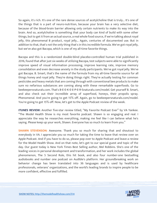So again, it's rich. It's one of the rare dense sources of acetylcholine that is truly... It's one of the things that is a part of neuro-nutrition, because your brain has a very selective diet, because of the blood-brain barrier allowing only certain nutrients to make its way into the brain. And so, acetylcholine is something that your body can kind of build with some other things, but to get it from an actual source, a real whole food source, if we're talking about royal jelly, this phenomenal B product, royal jelly... Again, centuries of documented use. But in addition to that, that's not the only thing that's in this incredible formula. We've got royal jelly, but we've also got Bacopa, which is one of my all-time favorite things.

Bacopa and this is a randomized double-blind placebo-controlled human trial published in 2016, found that after just six weeks of utilizing Bacopa, test subjects were able to significantly improve speed of visual information processing, improve learning rate, improve memory consolidation and even decrease anxiety in the study participants. We've got royal jelly. We've got Bacopa. B. Smart, that's the name of the formula from my all-time favorite source for all things honey and royal jelly. They're doing things right. They're actually testing for common pesticides and heavy metals that are coming through with conventional bee products to make sure no nefarious substances are coming along with these remarkable superfoods. Go to beekeepersnaturals.com. That's B-E-E-K-E-E-P-E-R-Snaturals.com/model. Get yourself B. Smart, and also check out their incredible array of superfood, honeys, their propolis spray. Phenomenal. And you're going to get 15% off. Again, go to beekeepersnaturals.com/model. You're going to get 15% off. Now, let's get to the Apple Podcast review of the week.

**ITUNES REVIEW:** Another five-star review titled, "My Favorite Podcast Ever" by VA Yankee. "The Model Health Show is my most favorite podcast. Shawn is so engaging and real. I appreciate the way he researches everything, making me feel like I can believe what he's saying. Please keep up your work, Shawn. Everyone has so much to learn from you."

**SHAWN STEVENSON:** Awesome. Thank you so much for sharing that and shoutout to everybody in VA. I appreciate you so much for taking the time to leave that review over on Apple Podcast. And if you have to do so, please pop over to Apple Podcast and leave a review for the Model Health Show. And on that note, let's get to our special guest and topic of the day. Our guest today is New York Times Best Selling author, Mel Robbins. She's one of the leading voices in personal development and transformation, and her work includes the global phenomenon, The 5 Second Rule, this hit book, and also four number-one bestselling audiobooks and number one podcast on Audible's platform. Her groundbreaking work on behavior change has been translated into 36 languages and is used by healthcare professionals, veterans' organizations, and the world's leading brands to inspire people to be more confident, effective and fulfilled.

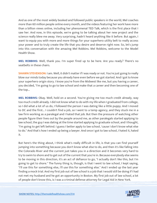And as one of the most widely booked and followed public speakers in the world, Mel coaches more than 60 million people online every month, and the videos featuring her work have more than a billion views online, including her phenomenal TED Talk, which is the first place that I saw her. And now, in this episode, we're going to be talking about her new project and the science really blew me away. Very surprising, hadn't heard anything like it before. But again, I want to equip you with more and more things for your superhero utility belt to really access your power and to truly create the life that you desire and deserve right now. So, let's jump into this conversation with the amazing Mel Robbins. Mel Robbins, welcome to the Model Health Show.

**MEL ROBBINS:** Well, thank you. I'm super fired up to be here. Are you ready? There's no seatbelts in these chairs.

**SHAWN STEVENSON:** I am. Well, it didn't matter if I was ready or not. You're just going to really blow our minds today because you already have even before we got started. And I got to know your superhero origin story. I know you're from the Midwest like me, but you having a career, you decided, "I'm going to go to law school and make that a career and then becoming one of the top...

**MEL ROBBINS:** Okay. Well, hold on a second. You're giving me too much credit already, way too much credit already. I did not know what to do with my life when I graduated from college, so I did what a lot of us do, I followed the person I was dating like a little puppy. And I moved to DC and the first... I couldn't find a job, so I went to a temp agency, and they stuck me in a law firm working as a paralegal and I hated that job. But then the pressure of watching other people figure their lives out by the people around me, as other paralegals started applying to law school, the guy I was dating at the time started applying to graduate school, and I thought, "I'm going to get left behind. I guess I better apply to law school, 'cause I don't know what else to do." And that's how I ended up being a lawyer. And once I got to law school, I hated it, hated it.

But here's the thing about, I think what's really difficult in life, is that you can find yourself jumping into something because you don't know what else to do, and then it's like falling into the Colorado River and the current just takes you in a direction and it becomes very hard to try to swim to shore and to get out of the current that you're in. Because everybody else seems to be moving in this direction, it's an act of defiance to go, "I actually don't like this, but I'm going to get to shore." The funny thing is, though, is that I went to law school, I kept saying, "I'll use this for something else, I'll use this for something else." And I ended up the last year finding a mock trial. And my first job out of law school is a job that I would still be doing if I had not met my husband and he got an opportunity in Boston. My first job out of law school, a lot of people don't know this, is I was a criminal defense attorney for Legal Aid in New York.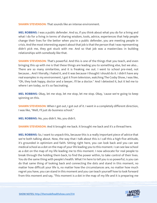**SHAWN STEVENSON:** That sounds like an intense environment.

**MEL ROBBINS:** I was a public defender. And so, if you think about what you do for a living and what I do for a living in terms of sharing wisdom, tools, advice, experiences that help people change their lives for the better when you're a public defender, you are meeting people in crisis. And the most interesting aspect about that job is that the person that I was representing didn't pick me, they got stuck with me. And so that job was a masterclass in building relationships with somebody like that.

**SHAWN STEVENSON:** That's powerful. And this is one of the things that you teach, and even bringing this up with me is that these things are leading you to something else, but we also... There are so many similarities, and it is freaking me out. I went to school pre-med, not because... And I literally, I hated it, and it was because I thought I should do it. I didn't have any real examples in my environment, I got it from television, watching The Cosby Show, I was like, "Oh, they look happy, doctor and a lawyer, I'll be a doctor." And I detested it, but it led me to where I am today, so it's so fascinating.

**MEL ROBBINS:** Okay, let me stop, let me stop, let me stop. Okay, 'cause we're going to keep spinning on this.

**SHAWN STEVENSON:** When I got out, I got out of it. I went in a completely different direction, I was like, "Well, I'll just do business school."

**MEL ROBBINS:** No, you didn't. No, you didn't.

**SHAWN STEVENSON:** And it brought me back. It brought me back and it's a thread here.

**MEL ROBBINS:** So, I want to unpack this, because this is a really important piece of advice that we're both talking about. Now, the way that I talk about this is I call this a high-five attitude, it's grounded in optimism and faith. Sitting right here, you can look back and you can see medical school as a dot on the map of your life leading you to this moment. I can see law school as a dot on the map of my life leading me to this moment. I now advocate for real people to break through the holding them back, to find the power within, to take control of their lives. You do the same thing with people's health. What I'm here to tell you is so powerful, is you can do that same thing of looking back and connecting the dots and stand in this moment, no matter how difficult your life is, no matter how the circumstances are, no matter how much regret you have, you can stand in this moment and you can teach yourself how to look forward from this moment and say, "This moment is a dot in the map of my life and it is preparing me

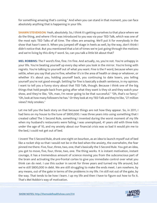for something amazing that's coming." And when you can stand in that moment, you can face absolutely anything that is happening in your life.

**SHAWN STEVENSON:** Yeah, absolutely. So, I think it's getting ourselves to that place where we do the thing, and where I first was introduced to you was via your TED Talk, which was one of the most epic TED Talks of all time. The vibes are amazing. We'll put it for everybody in the show that hasn't seen it. When you jumped off stage in heels as well, by the way, don't think I didn't notice that. But you mentioned that a lot of times we're just going through the motions and we're living by this dirty F word. So, can you talk a little bit about that?

**MEL ROBBINS:** The F word's fine, fine. I'm fine. And actually, no, you're not. You're unhappy in your life. You're beating yourself up every day when you look in the mirror. You're living with regrets. You're talking to yourself out of what you want. Fine is the F word, because when you settle, when you say that you're fine, whether it's in the area of health or sleep or whatever, or whether it's about you, holding yourself back, you continuing to date losers, you telling yourself you're not good enough. Settling for fine is basically a death sentence, in my opinion. I want to tell you a funny story about that TED Talk, though. Because I think one of the big things that hold people back from going after what they want is they sit and they watch your show, and they're like, "Oh, man, I'm never going to be that successful." "Oh, that's so fancy." "Oh, look at how many followers he has." Or they look at my TED Talk and they're like, "27 million views? Holy smokes."

Let me tell you the back story on that because things are not how they appear. So, in 2011, I had liens on my house to the tune of \$800,000. I was three years into using something that I created called The 5 Second Rule, something I invented during the worst moment of my life when my husband's restaurants were failing, I was unemployed, 41 years old with three kids under the age of 10, and my anxiety about our financial crisis was so bad it would pin me to the bed, I could not get out of bed.

I invent The 5 Second Rule, drunk one night on bourbon, as an idea to launch myself out of bed like a rocket ship so that I would not be in the bed when the anxiety, the overwhelm, the fear pinned me there. Five, four, three, two, one, that's basically the 5 Second Rule. You got an idea, you got to move, five, four, three, two, one. The thing works. It is instant motivation, instant courage, it has a tremendous amount of science moving you from the subconscious part of the brain and activating the pre-frontal cortex to give you immediate control over what you think can do next. I use this sucker in secret for three years and turned my life around, but we're still \$800,000 in debt. We are still struggling to make the ends meet. I am nowhere, by any means, out of the gate in terms of the problems in my life. I'm still not out of the gate, by the way. That tends to be how I learn. I up my life and then I have to figure out how to fix it. That's Mel Robbin's way of motivation.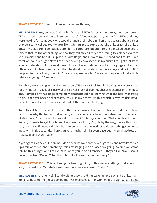**SHAWN STEVENSON:** And helping others along the way.

**MEL ROBBINS:** Yes, correct. And so, it's 2011, and TEDx is not a thing, okay. Let's be honest, TEDx started then, and my college roommate's friend was putting on the first TEDx and they were looking for somebody who would change their jobs a million times to talk about career change. So, my college roommate's like, "Oh, you got to come out." She's like crazy, she's like a butterfly that darts from public defender to corporate litigation to the digital ad business to this, to that, to the other thing. And so, they call me and they are offering two plane tickets to San Francisco and to put us up at the Saint Regis. And I look at my husband and I'm like, "Free vacation, babe, let's go." Now, I had have never given a speech in my entire life, I get that I was a public defender, but it's very different to stand in a courtroom and talk to a judge and a court officer and 12 citizens and a jury, then to stand in an auditorium on a stage and talk to 800 people? And back then, they didn't really prepare people. You know, they kind of did a little rehearsal, you got 20 minutes.

So, what you're seeing in that 21-minute long TEDx talk is Mel Robbins having an anxiety attack for 21 minutes. If you look closely, there is a neck rash all over my chest that comes on at minute one. I jumped off that stage completely disassociated not knowing what the hell I was going to do. I then get back on that stage, I'm... Like my hearts like this, which is why I'm darting all over the place. I am so disassociated that at the... At minute 19, I go...

And I forget how to end the speech. The speech was not about the five-second rule. I didn't even know why the five-second worked, so I was not going to get on a stage and tell a bunch of strangers, "If you count backward from five, it'll change your life." That sounds ridiculous. And so, I literally forget how to end the speech and I go, "Oh, oh, by the way, there's this thing I do, I call it the five-second rule, the moment you have an instinct to do something, you got to move within five seconds. Thank you very much." I think I even gave out my email address on that stage and then I leave.

A year goes by, they put it online. I don't even know. Another year goes by and now it's racked up a million views, and somebody starts messaging me on Facebook going, "Would you come talk to this thing?" And I'm like, "Oh, were you in San Francisco?" They're like, "No, I saw it online." I'm like, "Online?" And that's how it all began. Is that not crazy?

**SHAWN STEVENSON:** This is blowing my freaking mind, so this was something totally new for you, I was just like, "Oh, she's a seasoned veteran, she's been... " What?

**MEL ROBBINS:** Oh, hell no! I literally did not say... I did not wake up one day and be like, "I am going to become the most booked motivational speaker for women in the world. I am going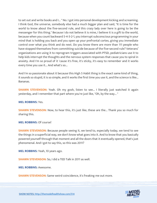to set out and write books and I... " No. I got into personal development kicking and screaming. I think God, the universe, somebody else had a much bigger plan and said, "It is time for the world to know about the five-second rule, and this crazy lady over here is going to be the messenger for this thing." Because I do not believe it is mine, I believe it is a gift to the world, because when you count backward 5-4-3-2-1, you interrupt subconscious programming in your mind that is holding you back and you open up your prefrontal cortex, giving you immediate control over what you think and do next. Do you know there are more than 111 people who have stopped themselves from committing suicide because of the five-second rule? Veterans' organizations are using it to reprogram triggers associated with PTSD, pediatricians use it to help kids interrupt the thoughts and the nervous system responses that cause you to spiral in anxiety. And I'm so proud of it 'cause it's free, it's sticky, it's easy to remember and it works every time you use it... And what's so...

And I'm so passionate about it because this High 5 Habit thing is the exact same kind of thing, it sounds so stupid, it is so simple, and it works the first time you use it, and the science is like... Bananas.

**SHAWN STEVENSON:** Yeah. Oh my gosh, listen to see... I literally just watched it again yesterday, and I remember that part where you're just like, "Oh, by the way... "

#### **MEL ROBBINS:** Yes.

**SHAWN STEVENSON:** Now, to hear this, it's just like, these are the... Thank you so much for sharing this.

#### **MEL ROBBINS:** Of course!

**SHAWN STEVENSON:** Because people seeing it, we tend to, especially today, we tend to see the things in a superficial way, we don't know what goes into it. And to know that you basically powered yourself through that moment and all the doors that it eventually opened, that's just phenomenal. And I got to say this, so this was 2011?

**MEL ROBBINS:** Yeah, 10 years ago.

**SHAWN STEVENSON:** So, I did a TED Talk in 2011 as well.

**MEL ROBBINS:** Awesome.

**SHAWN STEVENSON:** Same weird coincidence, it's freaking me out more.

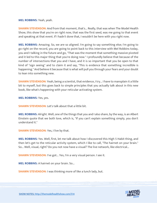#### **MEL ROBBINS:** Yeah, yeah.

**SHAWN STEVENSON:** And from that moment, that's... Really, that was when The Model Health Show, this show that you're on right now, that was the first seed, was me going to that event and speaking at that event. If I hadn't done that, I wouldn't be here with you right now.

**MEL ROBBINS:** Amazing. So, we are so aligned. I'm going to say something else; I'm going to go right on the record, you are going to point back to this interview with Mel Robbins today, you and I talking in the future and go, "That was the moment that something massive pivoted and it led to this major thing that you're doing now." I profoundly believe that because of the number of intersections that you and I have, and it is so important that you be open to that kind of "sign seeing" and to claim it and say, "This is evidence that something incredible is happening." And believe it because that is what will pull you through your fears and your doubt to lean into something new.

**SHAWN STEVENSON:** Yeah, being a scientist, that evidence, I try... I have to mansplain it a little bit to myself, but this goes back to simple principles that you actually talk about in this new book, like what's happening with your reticular activating system.

**MEL ROBBINS:** Yes, yes.

**SHAWN STEVENSON: Let's talk about that a little bit.** 

**MEL ROBBINS:** Alright. Well, one of the things that you and I also share, by the way, is an Albert Einstein quote that we both love, which is, "If you can't explain something simply, you don't understand it."

**SHAWN STEVENSON:** Yes, I live by that.

**MEL ROBBINS:** Yes. Well, first, let me talk about how I discovered this High 5 Habit thing, and then let's get to the reticular activity system, which I like to call, "The hairnet on your brain." So... Well, visual, right? Do you not now have a visual? The live network, like electrical...

**SHAWN STEVENSON:** I've got... Yes, I'm a very visual person. I see it.

**MEL ROBBINS:** A hairnet on your brain. So...

**SHAWN STEVENSON: I** was thinking more of like a lunch lady, but.

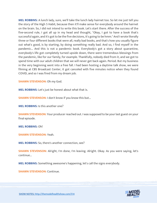**MEL ROBBINS:** A lunch lady, sure, we'll take the lunch lady hairnet too. So let me just tell you the story of the High 5 Habit, because then it'll make sense for everybody around the hairnet on the brain. So, I did not intend to write this book. Let's start there. After the success of the five-second rule, I got all up in my head and thought, "Okay, I got to have a book that's successful again, and it's got to be the five decisions, it's going to be hmm." And I wrote literally three or four different books that were all, really bad books, and that's how you usually figure out what's good, is by starting, by doing something really bad. And so, I find myself in the pandemic... And this is not a pandemic book. Everybody's got a story about quarantine, everybody's life got completely turned upside down, there were tremendous blessings from the pandemic, like for our family, for example. Thankfully, nobody died from it, and we got to spend time with our adult children that we will never get back again. Period. But my business in the very beginning went into a free fall. I had been hosting a daytime talk show, we were filming at CBS Broadcast Center, it got canceled with five minutes notice when they found COVID, and so I was fired from my dream job.

**SHAWN STEVENSON: Oh my God.** 

**MEL ROBBINS:** Let's just be honest about what that is.

**SHAWN STEVENSON:** I don't know if you know this but...

**MEL ROBBINS:** Is this another one?

**SHAWN STEVENSON:** Your producer reached out. I was supposed to be your last guest on your final episode.

**MEL ROBBINS:** Oh!

**SHAWN STEVENSON:** Yeah.

**MEL ROBBINS:** So, there's another connection, see?

**SHAWN STEVENSON:** Alright, I'm done, I'm leaving. Alright. Okay. As you were saying, let's continue...

**MEL ROBBINS:** Something awesome's happening, let's call the signs everybody.

**SHAWN STEVENSON: Continue.** 

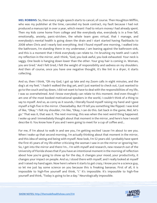**MEL ROBBINS:** So, then every single speech starts to cancel, of course. Then Houghton Mifflin, who was my publisher at the time, canceled my book contract, my fault because I had not produced a manuscript in over a year, which meant I had to return money I had already spent. Then my kids come home from college and like everybody else, everybody is in a free fall, emotionally, anxiety, panic-stricken, the whole team goes virtual, that I manage, and everybody's mental health is going down the drain and I start started having flashbacks to 2008 when Chris and I nearly lost everything. And I found myself one morning, I walked into the bathroom, I'm standing there in my underwear, I am leaning against the bathroom sink, and this is a moment that I think everybody can relate to. I'm brushing my teeth and I catch my reflection in the mirror, and I think, "God, you look awful, you look exhausted. Your neck is saggy. One boob is hanging down lower than the other. Your gray hair is coming in. Woman, you are tired." And I felt tired, I felt the weight of responsibility and sadness on my shoulders. And then of course, once you have one negative thought, it's like lint in a dryer, it starts collecting.

And so, then I think, "Oh my God, I got up late and my Zoom calls in eight minutes, and the dog's at my feet." I hadn't walked the dog yet, and I just wanted to check out, I just wanted to go to the couch and lay down, I did not want to have to deal with the responsibilities of my life, I was so overwhelmed. And I know everybody can relate to this moment. And even though I am one of the most booked motivational speakers in the world, I couldn't think of a thing to say to myself. And so, as corny as it sounds, I literally found myself raising my hand and I gave myself a high five in the mirror. Cheeseballsy. But I'll tell you something like flipped. I was kind of like, "Okay." I felt my shoulder, I'm like, "Okay, I can do this. Get back in the game, Mel, let's go." That was it, that was it. The next morning, this was when the next weird thing happened. I woke up and I immediately thought about that moment in the mirror, and here's how I would describe it: You know how if you and I were going to meet for a cup of coffee and...

For me, if I'm about to walk in and see you, I'm getting excited 'cause I'm about to see you. When I wake up that second morning, I'm actually thinking about that moment in the mirror, and this idea of seeing and being with myself. Now look, I'm 52 years old. I probably have spent the first 45 years of my life either criticizing the woman I saw in on the mirror or ignoring her. So, I get into the mirror and there I'm... I'm with myself and research, new research out of the University of Florida shows that if you have an intentional moment in the morning of reflection about how you're going to show up for the day, it changes your mood, your productivity, it changes your impact on people. And so, I stood there with myself, and I really looked at myself and I raised my hand again. Now here's where it starts to get crazy, I know you're a science guy, so let me just lay some science on you because this is freaking bananas. First of all, it is impossible to high-five yourself and think, "I." It's impossible. It's impossible to high-five yourself and think, "Today is going to be a day." Neurologically impossible.

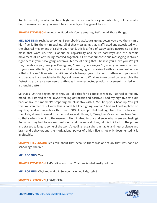And let me tell you why. You have high-fived other people for your entire life, tell me what a high five means when you give it to somebody, or they give it to you.

**SHAWN STEVENSON:** Awesome. Good job. You're amazing. Let's go. All those things.

**MEL ROBBINS:** Yeah, keep going. If somebody's attitude's going down, you give them him a high five, it lifts them him back up, all of that messaging that is affiliated and associated with the physical movement of raising your hand, this is a field of study called neurobics. I didn't make that word up, this is about neuroplasticity and neuro pathways and the aerobic movement of an arm being married together, all of that subconscious messaging is stored right here in your basal ganglia from a lifetime of doing that. I believe you; I love you. We got this, I celebrate you, I see you. Keep going. Come on, here we go. So, when you raise your hand to your own reflection, it activates all that messaging and marries it with your own reflection. Is that not crazy? Silence is the critic and starts to reprogram the neuro pathways in your mind, and because it is associated with physical movement... What we know based on research is the fastest way to create new neural pathways is an unexpected physical movement married with a thought pattern.

So that's just the beginning of this. So, I did this for a couple of weeks, I started to feel my mood lift, I started to feel myself feeling optimistic and positive, I had my high five attitude back on like this moment's preparing me, "Just stay with it, Mel. Keep your head up. You got this. You can face this, I know this is hard, but keep going, woman." And so, I post a photo on my story, and within an hour there were 100 plus people that had high-fived themselves with their kids, all over the world, by themselves, and I thought, "Okay, there's something here." And so that's when I dug into the research. First, I talked to our audience, what were you feeling? And what they had to say was profound, and the second thing I did is I picked up the phone and started talking to some of the world's leading researchers in habits and neuroscience and brain and behavior, and the motivational power of a high five is not only documented, it is irrefutable.

**SHAWN STEVENSON:** Let's talk about that because there was one study that was done on school-age children.

**MEL ROBBINS:** Yeah.

**SHAWN STEVENSON:** Let's talk about that. That one is what really got me...

**MEL ROBBINS:** Oh, I know, right. So, you have two kids, right?

**SHAWN STEVENSON:** I have three.

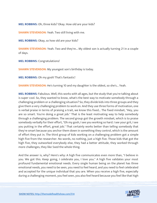**MEL ROBBINS:** Oh, three kids? Okay. How old are your kids?

**SHAWN STEVENSON:** Yeah. Two still living with me.

**MEL ROBBINS:** Okay, so how old are your kids?

**SHAWN STEVENSON:** Yeah. Two and they're... My oldest son is actually turning 21 in a couple of days.

**MEL ROBBINS:** Congratulations!

**SHAWN STEVENSON:** My youngest son's birthday is today.

**MEL ROBBINS:** Oh my gosh! That's fantastic!

**SHAWN STEVENSON:** He's turning 10 and my daughter is the oldest, so she's... Yeah.

**MEL ROBBINS:** Fabulous. Well, this works with all ages, but the study that you're talking about is super cool. So, they wanted to know, what's the best way to motivate somebody through a challenging problem or a challenging situation? So, they divide kids into three groups and they give them a very challenging problem to work on. And they use three forms of motivation, one is verbal praise in terms of praising a trait, we know this fixed... The fixed mindset, "Hey, you are so smart. You're doing a great job." That is the least motivating way to help somebody through a challenging problem. The second group got the growth mindset, which is to praise somebody verbally for their effort, "Oh my gosh, I see you working so hard. I see your grit, I see you putting in the effort, great job." That certainly works better than telling somebody that they're smart because you anchor them down in something they control, which is the amount of effort they put in. The third group of kids working on a challenging problem got a simple high five from the researcher. No words, no nothing, just a high five. Those kids that got the high five, they outworked everybody else, they had a better attitude, they worked through more challenges, they like 5xed the whole thing.

And the answer is, why? Here's why: A high five communicates even more than, "I believe in you. We got this. Keep going, I celebrate you, I love you." A high five validates your most profound fundamental emotional needs. Every single human being on the planet has three emotional needs, you need to be seen, you need to feel heard, and you need to feel celebrated and accepted for the unique individual that you are. When you receive a high five, especially during a challenging moment, you feel seen, you also feel heard because you feel like that high

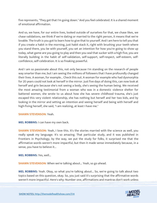five represents, "They get that I'm going down." And you feel celebrated. It is a shared moment of emotional affirmation.

And so, we have, for our entire lives, looked outside of ourselves for that, we chase likes, we chase validations, we think if we're dating or married to the right person, it means that we're lovable. The truth is you got to learn how to give that to yourself. And I am here to tell you that if you create a habit in the morning, just habit stack it, right with brushing your teeth where you stand there, you be with yourself, you set an intention for how you're going to show up today, what game are you going to play and then you seal that sucker with a high five, you are literally building in the habit of self-validation, self-support, self-respect, self-esteem, selfconfidence, self-celebration. It is so freaking powerful.

And I am so passionate about this, not only because I'm standing on the research of people way smarter than me, but I am seeing the millions of followers that I have profoundly changed their lives. A woman, for example... Check this out. A woman for example who had dysmorphia for 20 years could not look at herself in the mirror. Just five days of doing this, can now look at herself and grin because she's not seeing a body, she's seeing the human being. We received the most amazing testimonial from a woman who was in a domestic violence shelter for battered women, she wrote to us about how she has severe childhood trauma, she's just escaped this very violent relationship, she has nothing but herself and her two kids, and by looking in the mirror and setting an intention and seeing herself and being with herself and high-fiving herself, she said, "I am realizing, at least I have me."

#### **SHAWN STEVENSON:** Yeah.

**MEL ROBBINS:** I can have my own back.

**SHAWN STEVENSON:** Yeah, I love this. It's the stories married with the science as well, you really speak my language. It's so amazing. That particular study, and it was published in Frontiers in Psychology, by the way, we put the study for folks, it surprised me that the affirmative words weren't more impactful, but then it made sense immediately because, in a sense, you have to believe it...

**MEL ROBBINS:** Yes, well...

**SHAWN STEVENSON:** When we're talking about... Yeah, so go ahead.

**MEL ROBBINS:** Yeah. Okay, so what you're talking about... So, we're going to talk about two topics based on this question, okay. So, you just said it's surprising that the affirmative words weren't more impactful. Here's why: Number one, affirmations and mantras don't work unless

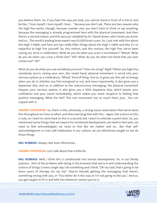you believe them. So, if you hate the way you look, you cannot stand in front of a mirror and be like, "I love myself, I love myself, I love... " Because you don't yet. There are two reasons why the high five works, though, because number one, you don't have to think or say anything, because the messaging is already programmed here with the physical movement. And then there's a second reason, and this was just validated by Dr. Daniel Amen, who I know you know. And so... The world's leading brain expert was 65,000 brain scans. So, I just met with him about the High 5 Habit, and here are two really killer things about the High 5 Habit and why it's so impactful to high five yourself. So, this motion, and this motion, the high five, we've been raising our arms in celebration. What do you do when you score a touchdown? "Whoa!" What do you do when you cross a finish line? "Ah!" What do you do when the band that you love comes out? "Ah!"

What do you do when you see somebody you love? "Give me a hug!" Right? When you high-five somebody you're raising your arm, the raised hand, physical movement is wired into your nervous system as a celebratory, "Whoa!" Kind of thing. And so, it gives you this jolt of energy when you do it, whether you feel energized or not, and more importantly, it also gives you a dopamine drip. And so, in addition to the subconscious messaging, the physical movement impacts your nervous system, it also gives you a little dopamine drip, which boosts your confidence and your mood immediately, which makes you more receptive to feeling that positive messaging. What the hell? This one movement has so much that's just... You can unpack with it.

**SHAWN STEVENSON:** So, there is this, obviously, a strong neuro-association that we've done this throughout our lives so often, and then marrying that with this... Again, the science on this is nuts, so I want to come back to this in a second, but I want to reiterate a point here. So, you mentioned some things that we require for emotional development, we need to feel seen, we need to feel acknowledged, we need to feel like we matter and so... But that selfacknowledgment or even self-celebration in our culture, we are oftentimes taught to not do those things.

**MEL ROBBINS:** Always. Not even oftentimes.

**SHAWN STEVENSON:** Let's talk about that a little bit.

**MEL ROBBINS:** Well, I think this is conditioned into human development. So, in our family systems... Part of the problem with being in the business that we're in and understanding the science of things is every single day I do something and I think, "Oh my God, that's going to be three years of therapy for my kid," they're literally getting the messaging that there's something wrong with you, or "You better do it this way or I'm not going to like you." And so, you get taught to fit in and fold into whatever system you're in.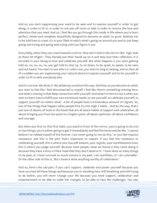And so, you start suppressing your need to be seen and to express yourself in order to get along, in order to fit in, in order to not piss off mom or dad, in order to receive the love and attention that you need. And so, I feel like you go through this mode in life where you're born perfect, whole and complete, beautifully designed to become an adult, to grow. Nobody has to be told how to crawl, it's in your DNA to watch what's going on around you and to just keep going and trying and going and trying until you figure it out.

Every baby, when they can crawl towards a mirror, they don't look in the mirror-like, "Ugh, look at those fat thighs." They literally put their hands up on it and they love their reflection. It is encoded in your being to love and celebrate yourself. But what happens is you start getting told no, no, no, no, no, you get told to shut up, to sit down, to be quiet, to speak, to be seen and not heard. You start to see who's in, who's out, you start to long to belong, and so then all of a sudden you are suppressing your natural desire to express yourself and to be yourself in order to fit in with everybody else.

And it's normal. We all do it. We all betray ourselves this way. And then as you become an adult, you start to feel like I feel disconnected to myself, I feel like there's something missing here, and what's missing is that deep connection with yourself. And what I'm here to say is when you start to learn how to fulfill your own emotional needs, to see yourself, to celebrate yourself, to support yourself no matter what... A lot of people have a tremendous amount of regrets. So, one of the things that happen when people first try this High 5 Habit... And by the way, that's just one of dozens of tools in this book that are all about habits of support and celebration, all about bringing you from low point to a higher point, all about optimism, all about confidence and courage.

But when you first try this first habit, you stand in front of the mirror, you're going to do one or two things, you're either going to get it immediately and feel the boost and be like, "I cannot believe I've robbed myself of this forever, I am never going to not do this," or you feel massive resistance, and this is the part that's important to unpack. If you feel the resistance to celebrating yourself, this is where your low self-esteem, your regrets, your worthlessness lives, this is where you judge yourself. Because most people, what we found is they resist doing it because they have a story in their head that they don't deserve it. "I have done so many things in my past, or I have survived so much trauma in my past, I am worthless, or I am unlovable." Or the other side of this is, "But I haven't done anything worthy of celebration."

And so, here's the sad part, if you can't support, celebrate and power yourself because you have survived all those things and because you're standing here still breathing and still trying to do better, you will never change your life because you need support, celebration and empowerment to be able to make the changes, to be able to face the challenges. You see,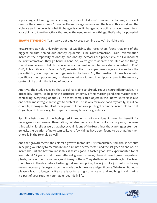supporting, celebrating, and cheering for yourself, it doesn't remove the trauma, it doesn't remove the abuse, it doesn't remove the micro-aggressions and the bias in this world and the violence and the poverty, what it changes is you. It changes your ability to face these things, your ability to take the actions that move the needle on these things. That's why it's powerful.

**SHAWN STEVENSON:** Yeah, we've got a quick break coming up, we'll be right back.

Researchers at Yale University School of Medicine, the researchers found that one of the biggest culprits behind our obesity epidemic is neuroinflammation. Brain inflammation increases the propensity of obesity, and obesity increases the propensity, the likelihood of neuroinflammation, they go hand in hand. So, we've got to address this. One of the things that's been proven to help to reduce neuroinflammation is cited in a study published in PLoS ONE, Public Library of Science ONE, revealed that the super green algae spirulina has the potential to, one, improve neurogenesis in the brain. So, the creation of new brain cells, specifically the hippocampus, is where we get a lot... And the hippocampus is the memory center of the brain, this is kind of important.

And two, the study revealed that spirulina is able to directly reduce neuroinflammation. It's incredible. Alright, it's helping the structural integrity of this master gland, this master organ controlling everything about us. The most complicated object in the known universe is also one of the most fragile, we've got to protect it. This is why for myself and my family, spirulina, chlorella, ashwagandha, all of these powerful foods are put together in the incredible blend at Organifi, and this is a regular staple here in my family for good reason.

Spirulina being one of the highlighted ingredients, not only does it have this benefit for neurogenesis and neuroinflammation, but also has rare nutrients like phycocyanin, the same thing with chlorella as well, that phycocyanin is one of the few things that can trigger stem cell genesis, the creation of new stem cells, very few things have been found to do that. And then chlorella in the formula as well.

And that growth factor, the chlorella growth factor, it's just remarkable. And also, it benefits in helping your body to metabolize and eliminate heavy metals and the list goes on and on. It's incredible. But the bottom line is this, it tastes good. It tastes good. I've experimented for at least about 15 years of all these different green formulas, these different green superfood plants, many of them is not very good. Many of them. They shall remain nameless, but I've tried them back in the day before tasting good was an option, it was just like just get it in by any means necessary if you got to do the whole pinch the nose and get it done. Whatever. But now, pleasure leads to longevity. Pleasure leads to taking a practice on and imbibing it and making it a part of your routine, your habits, your daily life.

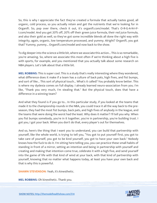So, this is why I appreciate the fact they've created a formula that actually tastes good, all organic, cold process, so you actually retain and get the nutrients that we're looking for in Organifi. So, pop over there, check it out, it's organifi.com/model. That's O-R-G-A-N-I-F-I.com/model. And you get 20% off, 20% off their green juice formula, their red juice formula, and also their gold as well, so they've got some incredible blends all done the right way with integrity, again, organic, low temperature processed, and yummy. Alright? Organifi, you got that? Yummy, yummy... Organifi.com/model and now back to the show.

To dig deeper into the science a little bit, where we associate this action... This is so remarkable, you're amazing. So, where we associate this most often if we're thinking about a high five is with sports, for example, and you mentioned that you actually talk about some research on NBA players. Let's talk about that a little bit.

**MEL ROBBINS:** This is super cool. This is a study that's really interesting where they wondered, what difference does it make if a team has a culture of back pats, high fives, and fist bumps, and sort of like... This sort of physical touch... What's it called? You probably know better. This is where my dyslexia comes on full display. I already learned neuro-association from you. I'm like, "Thank you very much, I'm stealing that." But the physical touch, does that have a difference in a winning team?

And what they found is if you go to... In this particular study, if you looked at the teams that made it to the championship rounds in the NBA, you could trace it all the way back to the preseason, they had the most fist bumps, back pats, and high fives of anybody in the league, and the teams that were doing the worst had the least. Why does it matter? I'll tell you why. When you fist bumps somebody, you're in it together, you're in partnership, you're building trust. I got you, I got your back. When you don't do that, every player's out for themselves.

And so, here's the thing that I want you to understand, you can build that partnership with yourself, like the whole world, is trying to tell you, "You got to put yourself first, you got to take care of yourself, you got to be kind yourself, you got to have your own back." Nobody knows how the fuck to do it. I'm sitting here telling you, you can practice these small habits of standing in front of a mirror, setting an intention and being in partnership with yourself and creating and making that intention come true, celebrate it with a high five, and send yourself into the game of life with that kind of wind at your back, with that kind of partnership with yourself, knowing that no matter what happens today, at least you have your own back and that is why this is powerful.

**SHAWN STEVENSON: Yeah, it's kinesthetic.** 

**MEL ROBBINS:** Oh kinesthetic. Thank you.

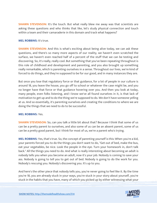**SHAWN STEVENSON:** It's the touch. But what really blew me away was that scientists are asking these questions and who thinks that like, let's study physical connection and touch within a team and their camaraderie in this domain and track what happens?

#### **MEL ROBBINS:** It's true.

**SHAWN STEVENSON:** And this is what's exciting about being alive today, we can ask these questions, and there's so many more aspects of our reality, we haven't even scratched the surface, we haven't even reached half of a percent of the stuff that we can be testing and discovering. So, it's really, really cool. But something that you've been repeating throughout is this role of childhood and development and parenting, and you also brought up something really remarkable, which is parenting ourselves in a sense. Throughout our lives, we're kind of forced to do things, and they're supposed to be for our good, and in many instances they are.

But once you lose that regulatory force or that guidance, for a lot of people in our culture is around 18, you leave the house, you go off to school or whatever the case might be, and you no longer have that force or that guidance hovering over you. And then you look at today, many people, even folks listening, and I know we've all found ourselves in it, is that lack of motivation to get up and to do the thing we're supposed to do. We don't have someone yelling at us. And so essentially, it's parenting ourselves and creating the conditions to where we are doing the things that we need to do to be successful.

#### **MEL ROBBINS:** Yes.

**SHAWN STEVENSON:** So, can you talk a little bit about that? Because I think that some of us can be a pretty parent to ourselves, and also some of us can be an absent parent, some of us can be a pretty good parent, but I think for most of us, we're a parent who's trying.

**MEL ROBBINS:** Yes, that's true. So, the concept of parenting yourself is this: When you're a kid, your parents forced you to do the things you don't want to do, "Get out of bed, make the bus, eat your vegetables, be nice. Look the people in the eye. Turn your homework in, don't talk back." All the things you need to do. And what is really interesting about becoming an adult is nobody tells you when you become an adult, now it's your job. Nobody is coming to save your ass. Nobody is going to tell you to get out of bed. Nobody is going to do the work for you. Nobody's rescuing you. Nobody's discovering you. It's up to you.

And here's the other piece that nobody tells you, you're never going to feel like it. By the time you're 18, you are already stuck in your ways, you're stuck in your story about yourself, you're stuck in the habits that you have, many of which you picked up by either witnessing what your

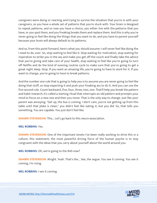caregivers were doing or reacting and trying to survive the situation that you're in with your caregivers, so you have a whole set of patterns that you're stuck with. Your brain is designed to repeat patterns, and so now you have a choice, you either live with the patterns that you have, or you spot them, and you freaking breaks them and replace them. And this is why you're never going to feel like doing the things that you want to do, and you have to parent yourself because your brain will always default to its patterns.

And so, from this point forward, here's what you should assume: I will never feel like doing the I need to do, ever. So, stop waiting to feel like it. Stop waiting for motivation, stop waiting for inspiration to strike you in the ass and make you get off the couch and finally take the advice that you're giving and take care of your health, stop waiting to feel like you're going to turn off Netflix and do the kind of evening routine cycle to make sure that you're going to get a great night sleep. Stop. If you want an amazing life, you're going to have to work for it. If you want to change, you're going to have to break patterns.

And the number one rule that is going to help you is to assume you are never going to feel like doing that stuff, so stop expecting it and push your freaking ass to do it. And you can use the five-second rule. Count backward, five, four, three, two, one. That'll help you break the pattern and habit research; it's called a starting ritual that interrupts an old pattern and prompts your mind to focus on a new one and then you move. That is the only way to change. Just like your parent was annoying. "Get up, the bus is coming. I don't care, you're not getting up from this table until that plate is clean," you didn't feel like eating it, but you did. So, that tells you something. You are capable. You just don't feel like.

**SHAWN STEVENSON:** This... Let's go back to this neuro-association.

**MEL ROBBINS:** Yes.

**SHAWN STEVENSON:** One of the important tenets I've been really working to drive this in a culture, this statement, the most powerful driving force of the human psyche is to stay congruent with the ideas that you carry about yourself about the world around you.

**MEL ROBBINS:** Oh, we're going to the RAS now?

**SHAWN STEVENSON:** Alright. Yeah. That's the... See, the segue. You see it coming. You see it coming, I'm rising.

**MEL ROBBINS:** I see it coming.

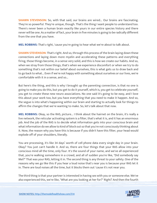**SHAWN STEVENSON:** So, with that said, our brains are wired... Our brains are fascinating. They're so powerful. They're unique, though. That's the thing I want people to understand too. There's never been a human brain exactly like yours in our entire species history and there never will be one. As a matter of fact, your brain in five minutes is going to be radically different from the one that you have.

**MEL ROBBINS:** That's right, 'cause you're going to hear what we're about to talk about.

**SHAWN STEVENSON:** That's right. And so, through this process of the brain laying down these connections and laying down more myelin and accelerating these patterns and everything firing, those things become, in a sense very solid, and this is how we create our habits. And so, when we stray from those things, that's when we experience discomfort or when we try to do something that's not within our belief about ourselves, this is what gets us to draw back and to go back to what... Even if we're not happy with something about ourselves or our lives, we're comfortable with it in a sense, and so...

But here's the thing, and this is why I brought up the parenting connection, is that no one is going to make you do this, but you get to do it yourself, which is, you get to celebrate yourself, you get to create these new neuro associations. No one said it's going to be easy, and I love this about your work too, but you have everything that you need to make it happen. And so, the segue is into what's happening within our brain and starting to actually look for things to affirm the changes that we're wanting to make. So, let's talk about that now.

**MEL ROBBINS:** Okay, so the RAS, picture... I think about the hairnet on the brain, it's really a live network, the reticular activating system is a filter, that's what it is, and it has an enormous job. And the job of the RAS is to decide what information gets into your conscious brain and what information do we allow to kind of block out so that you're not consciously thinking about it. Now, the reason why you have this is because if you didn't have this filter, your head would explode off of your shoulders, literally.

You are processing, it's like 34 days' worth of cell phone data every single day in your brain. Okay? You just can't handle it. And so, there are four things that your RAS allow into your conscious mind all the time, only four. It's the sound of your name, and we've all experienced that, you're walking somewhere in a crowd, and all of sudden you're like, "Did somebody say Mel?" That was your RAS, letting it in. The second thing is any threat to your safety. One of the reasons why we go like this if you hear a loud noise that's near you is because your RAS let it in. There are loud noises all the time, but it blocks them out 'cause it's not near you.

The third thing is that your partner is interested in having sex with you or someone else. We've also experienced this, we're like, "What are you looking at her for?" Right? And then the fourth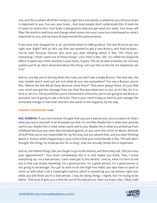one, and this is where all of the money is, right here everybody, is whatever you tell your brain is important to you. You see, your brain... And most people don't understand this. It took me 52 years to realize this. Your brain is designed to help you get what you want. Your brain will filter the world in real-time and change what comes into your conscious mind based on what's important to you, and we have all experienced this phenomenon.

If you have ever shopped for a car, you know what I'm talking about. The new Broncos are out right now. Right? And so, let's say that you wanted to get a new Bronco, and they've been... You've seen Broncos forever. But once you start thinking about it like, "Oh, those are interesting. I think I want one of those things," your mind is like, "Oh," it's called the Zeigarnik effect. It opens up a little checklist in your brain, it goes, "Oh, oh oh wait a minute, her nervous system just lit up. She's all excited about this thing. Let's put this on the list. It's important. Let it in."

And so, one day you're driving down the road, you don't see a single Bronco. The next day, the new models aren't even out yet, but what do you see everywhere? You see a Bronco, you're like, "Where the hell did all these Broncos come from?" They were always there. It's just that your mind now got the message from you that this was important to you, so it's like, let it in, let it in, let it in. The second that you're interested in a Porsche, you're not going to see Broncos anymore, you're going to see a Porsche. That is your mind trying so hard to just manage the world and change in real-time. And this also works in the negative, by the way.

#### **SHAWN STEVENSON:** Yeah.

**MEL ROBBINS:** If you have forever thought that you are a bad person, you're a piece of, that's what you say to yourself. A lot of people say that. It's terrible. Maybe this is what your parents said to you. Maybe this is what some coach said to you. Maybe this is what you picked up from childhood because you were discriminated against, or you were the victim of abuse. All kinds of stuff that you're not responsible for, by the way, but you absorb that, and you kept thinking about it. And so, what's happening in your mind is that your mind literally is like, "Oh well, Mel's thought this thing, I'm a bad person for so long", that she actually thinks this is important.

And so, the littlest things, like you forget to go to the dentist, and then they call, "Did you miss your appointment?" Your brain immediately lets it in and makes you think, "See, I screw everything up. I'm a bad person, I can't even get to the dentist." And so, what I'm here to tell you is that just simply repeating, I'm a good person, I'm a good person, I'm a good person is not going to be enough. You got to start to do the High Five Habit, you also have to start to come up with what I call a meaningful mantra, which is something you can believe right now while you still think you're a bad person. I may be doing things I regret, but I'm trying to be better. That kind of gets you a little bit out of the bad person. Now my brain's like, "Okay, hold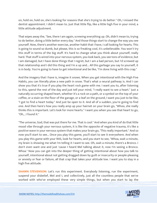on, hold on, hold on, she's looking for reasons that she's trying to do better." Oh, I missed the dentist appointment. I didn't mean to. Just that little flip, like a little high five in your mind, a little attitude adjustment.

That wipes away the, "See, there I am again, screwing everything up. Oh, didn't mean to, trying to do better, doing a little better every day." And those things start to change the way you see yourself. Now, there's another exercise, another habit that I have, I call looking for hearts. This is going to sound so dumb, but please, this is so freaking cool, it's unbelievable. You won't try this stuff in terms of the big stuff. It's hard to change what you think about yourself, really hard. That stuff is wired into your nervous system, you look back, you see tons of evidence, but I am damaged, but I have done things that I regret, but I am a bad person, but I'd screwed up that relationship and I did this thing and I'm a up and... All this garbage you say to yourself, it is in body. You're going to have to get intentional and be like, "I'm done living with this crap."

And the imagery that I have is, imagine it snows. When you get intentional with the High Five Habits, you can literally plow a new path in snow. That's what a neural pathway is. And I can show you that it's true if you play the heart rock game with me. I want you to, after listening to this, spend the rest of the day and just tell your mind, "I really want to see a heart." Just a naturally occurring shaped heart, whether it's a rock on a path, or a symbol on the top of your coffee, or a stain on the floor of the garage, or a leaf on the ground, I want you just to be like, "I got to find a heart today." And just be open to it. And all of a sudden, you're going to find one. And then here's how you really amp up your hairnet on your brain go, "Whoo, she really thinks this is important. Let's look for more hearts." I want you when you see that heart to go, "Oh, , I found it."

"The universe, God, that was put there for me. That is cool." And when you kind of do that little mood vibe through your nervous system, it is like the opposite of negative trauma, it's like a positive wave in your nervous system that makes your brain go, "This really important." And so now you'll start to see... Once you play this game, you'll start to see it everywhere. And when you play this game with your RAS, look for hearts, and you start to see, "Whoa, wait a minute, my brain is showing me what I'm telling it I want to see. Oh, wait a minute, there's a Bronco. I don't even want one and just 'cause I heard Mel talking about it, now I'm seeing a Bronco. Whoa." Now you can get into the deeper thing of getting intentional about how you talk to yourself, intentional about not getting dragged down by guilt or insecurity or people-pleasing or anxiety or fear or failure, all that crap that takes your attitude low. I want you to stay in a high five attitude.

**SHAWN STEVENSON:** Let's run this experiment. Everybody listening, run the experiment, suspend your disbelief, Mel and I, and collectively, just all the countless people that we've worked with who've employed these very simple things, but when you start to lay the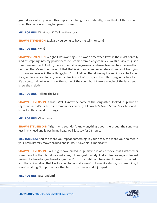groundwork when you see this happen, it changes you. Literally, I can think of the scenario when this particular thing happened for me.

**MEL ROBBINS:** What was it? Tell me the story.

**SHAWN STEVENSON:** Mel, are you going to have me tell the story?

#### **MEL ROBBINS:** Why?

**SHAWN STEVENSON:** Alright. I was wanting... This was a time when I was in the midst of really kind of stepping into my power because I come from a very complex, volatile, violent, just a tough environment. And so, there's one sort of aggression and assertiveness to survive in that, but then there's another flavor of that that is kind and compassionate and peaceful. I'm trying to break and evolve in these things, but I'm not letting that drive my life and instead be forced for good in a sense. And so, I was just feeling out of sorts, and I had this song in my head and it's a song... I didn't even know the name of the song, but I knew a couple of the lyrics and I knew the melody.

**MEL ROBBINS:** Tell me the lyric.

**SHAWN STEVENSON:** It was... Well, I knew the name of the song after I looked it up, but it's Glycerine and it's by Bush if I remember correctly. I know he's Gwen Stefani's ex-husband. I know like these random things…

**MEL ROBBINS:** Okay, okay.

**SHAWN STEVENSON:** Alright. And so, I don't know anything about the group, the song was just in my head and it was in my head, we'll just say for 24 hours.

**MEL ROBBINS:** And the more you repeat something in your head, the more your hairnet in your brain literally moves around and is like, "Okay, this is important."

**SHAWN STEVENSON:** So, I might have picked it up, maybe it was a movie that I watched or something like that, but it was just in my... It was just melody. And so, I'm driving and I'm just feeling like I need a sign, I need a sign that I'm on the right path here. And I turned on the radio and the radio station that I've listened to normally wasn't... It was like static-y or something, it wasn't working. So, I pushed another button on my car and it jumped...

**MEL ROBBINS:** Just random?

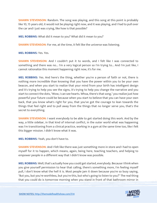**SHAWN STEVENSON:** Random. The song was playing, and this song at this point is probably like 10, 15 years old, it would not be playing right now, and it was playing, and I had to pull over the car and I just was crying, like how is that possible?

**MEL ROBBINS:** What did it mean to you? What did it mean to you?

**SHAWN STEVENSON:** For me, at the time, it felt like the universe was listening.

**MEL ROBBINS:** Yes. Yes.

**SHAWN STEVENSON:** And I couldn't put it to words, and I felt like I was connected to something and there was no... I'm a very logical person so I'm trying to... And I'm just like, I cannot rationalize this moment happening right now, it's for me.

**MEL ROBBINS:** Yes. And here's the thing, whether you're a person of faith or not, there is nothing more incredible than knowing that you have the power within you to be your own beacon, and when you start to realize that your mind from your birth has intelligent design and it's trying to help you see the signs, it's trying to help you change the narrative and you start to connect the dots, "Wow, I can see hearts. Whoa, there's that song," you realize just how powerful your future could be because when you start to believe that you can have your own back, that you know what's right for you, that you've got the courage to lean towards the things that feel right and to pull away from the things that no longer serve you, that's the secret to everything.

**SHAWN STEVENSON:** I want everybody to be able to get started doing this work. And by the way, a little sidebar, in that kind of internal conflict, in the outer world what was happening was I'm transitioning from a clinical practice, working in a gym at the same time too, like I felt this bigger mission. I didn't know what it was.

**MEL ROBBINS:** Yeah, you don't have to.

**SHAWN STEVENSON:** And I felt like there was just something more in store and I had to open myself for it to happen, which means, again, being here, teaching teachers, and helping to empower people in a different way that I didn't know was possible.

**MEL ROBBINS:** Well, that's actually how you could get started, everybody. Because I think when you give yourself permission to hear that calling, there's something more, I'm feeling myself pull, I don't know what the hell it is. Most people jam it down because you're so busy saying, "But you, but you're worthless, but you're this, but who's going to listen to you?" The real thing that you could do is tomorrow morning when you stand in front of that bathroom mirror in

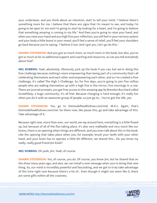your underwear, and you think about an intention, start to tell your mind, "I believe there's something more for me. I believe that there are signs that I'm meant to see, and today I'm going to be open to 'em and I'm going to start by looking for a heart, and I'm going to believe that something amazing is coming in my life." And then you're going to raise your hand, and when you raise your hand and you high five your reflection, you will feel in your nervous system and your body a little boost in your mood, you'll feel a sense of relief, you'll feel your shoulders go back because you're saying, "I believe it too. And I got you. Let's go do this."

**SHAWN STEVENSON:** And you got so much more, so much more in the book, but also, you've got so much as far as additional support and coaching and resources, so can you tell everybody about that?

**MEL ROBBINS:** Yeah, absolutely. Obviously, pick up the book if you can, but we're doing this free challenge because nothing's more empowering than being part of a community that's all celebrating themselves and each other and empowering each other, and so I've created a free challenge, it's called The High 5 Challenge. So, for five days, you're going to join five million people who are waking themselves up with a high five in the mirror, five mornings in a row. There are journal prompts, you get free access to this amazing app by Brendon Burchard called GrowthDay, a huge community, it's all free. Because changing is hard enough, it's really fun when you do it with an awesome group of people, so just go to... You've got the URL, yes.

**SHAWN STEVENSON:** Yes, go to themodelhealthshow.com/mel. M-E-L. Again, that's themodelhealthshow.com/mel. Go there now, like pause this, go and take advantage of this. Take advantage of it.

Because right now, more than ever, our world, we say around here, everything is a little fluxed up, but because of all of the flux taking place, it's also very malleable and very much like our brains, there is an opening when things are different, and you even talk about this in the book. Like the opening that takes place when you, for example, brush your teeth with your other hand, and your brain has to operate a little bit different, we shared this... Do you know my really, really good friend Jim Kwik?

**MEL ROBBINS:** Oh yeah, Jim. Yeah, of course.

**SHAWN STEVENSON:** Yes, of course, you do. Of course, you know Jim, but he shared that on the show many years ago, and also, we can install a new message when you're doing that new thing. So, our mind is incredibly powerful and fascinating, and we get to truly take advantage of this time right now because there's a lot of... Even though it might not seem like it, there are some gifts within all the craziness.

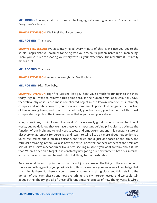**MEL ROBBINS:** Always. Life is the most challenging, exhilarating school you'll ever attend. Everything's a lesson.

**SHAWN STEVENSON:** Well, Mel, thank you so much.

**MEL ROBBINS:** Thank you.

**SHAWN STEVENSON:** I've absolutely loved every minute of this, ever since you got to the studio, I appreciate you so much for being who you are. You're just an incredible human being. Thank you so much for sharing your story with us, your experience, the real stuff, it just really means a lot.

**MEL ROBBINS:** Thank you.

**SHAWN STEVENSON:** Awesome, everybody, Mel Robbins.

**MEL ROBBINS:** High five, baby.

**SHAWN STEVENSON:** High five. Let's go, let's go. Thank you so much for tuning in to the show today. Again, I want to reiterate this point because the human brain, as Michio Kaku says, theoretical physicist, is the most complicated object in the known universe. It is infinitely complex and infinitely powerful, but there are some simple principles that guide the function of this amazing brain, and here's the cool part, you have one, you have one of the most complicated objects in the known universe that is yours and yours alone.

Now, oftentimes, it might seem like we don't have a really good owner's manual for how it works, but we do know that we have these very important guiding principles to optimize the function of our brain and to really set success and empowerment and this constant state of discovery on automatic for ourselves, and I want to talk a little bit more about how to do that. So as Mel talked about on this episode, she talked about just one facet of the brain, the reticular activating system, we also have the reticular cortex, so these aspects of the brain are sort of like a servo mechanism or like a heat-seeking missile if you want to think about it like that. When it's set on a target, it is constantly navigating our environment, both our internal and external environment, to lead us to that thing, to that destination.

Because what I want to point out is that it's not just you seeing the thing in the environment, there's something pulling you physically into this space where you can even acknowledge that that thing is there. So, there is a pull, there's a magnetism taking place, and this gets into the domain of quantum physics and how everything is really interconnected, and we could talk about String Theory and all of these different amazing aspects of how the universe is wired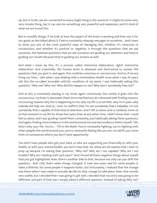up, but in truth, we are connected to every single thing in the universe. It might be some very, very minute thing, but it can also be something very powerful and expansive, and it's kind of what we are tuned into.

But to simplify things, if we look at how this aspect of the brain is working and then use it for our good, as she talked about it if we're constantly relaying messages to ourselves... And I want to show you one of the most powerful ways of managing this, whether it's conscious or unconscious, and whether it's positive or negative, is through the questions that we ask ourselves, the habitual questions that we ask ourselves are guiding our attention and they're guiding our results because they're guiding our actions as well.

And what I mean by this, it's a process called instinctive elaboration, right? Instinctive elaboration. And essentially, the human brain is obsessed and hard-wired to answer the questions that you give it, and again, this could be conscious or unconscious. And so, if we are living our lives... Like when I was dealing with a tremendous health issue when I was 20 years old, this the so-called incurable arthritic condition of my spine, I was habitually asking this question, "Why me? Why me? Why did this happen to me? Why won't somebody help me?"

And as this is constantly playing in my mind, again consciously, but mostly it goes into the unconscious, my brain is obsessed, these servo mechanisms are obsessed with finding reasons, uncovering reasons why this is happening to me, why my life is so terrible, why I'm in pain, why nobody will help me. And so, I start to reaffirm that I'm not somebody that's helpable, I'm not somebody that's capable of that kind of attention. And I felt so alone and so isolated, more so at that moment in my life for those two years than at any other time. I didn't know that I could feel so alone, and I was guiding myself there constantly, just habitually asking these questions. And again, finding more evidence in the world around me and also evidence within myself, "Oh, here's why your life, You're... " Fill in the blank. You're constantly fighting, you're fighting with other people, the world around you, you're constantly feeling like you are cut adrift, you come from circumstances where you don't have opportunity.

You don't have people who got your back, or who are supporting you financially or with your health, or with your mental health, you don't have that. So, these are all reasons that I start to prop up because I'm asking that question, "Why me? Why am I not capable? Why am I not lovable? Why am I dealing with such pain?" And I found all these negative things about myself that just got highlighted. Now, there's another side to that, because not only can you shift the question... And I did, that's when things changed, it took two years and for some people, it takes a lifetime, for some people it happens faster, but fortunately, I realized that the change was there when I was ready to actually decide for that change to take place. Now, that sounds very subtle, but I decided that I was going to get well, I decided that my story was going to be different, and part of that was I simply asked a different question. Instead of asking Why me?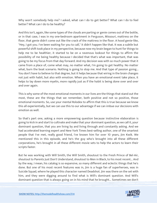Why won't somebody help me? I asked, what can I do to get better? What can I do to feel better? What can I do to be healthy?

And this isn't, again, like some types of the clouds are parting or genie comes out of the bottle, or in that case, I was in my one-bedroom apartment in Ferguson, Missouri, mattress on the floor, that genie didn't come out like the crack of the mattress in the floor. A hood genie-like, "Hey, I got you. I've been waiting for you to call," it didn't happen like that. It was a subtle but powerful shift took place in my perspective, because now my brain began to hunt for things to help me to be healthier, it started to be on a ravenous lookout for things to affirm the possibility of me being healthy because I decided that that's what was important, that was going to be my focus from that day forward. And my decision was with so much power that it came from a place of, come what may, no matter what, I'm going to get healthy. No matter what, burn the boat scenario. Nothing is going to stop me. And that type of passion going... You don't have to believe to that degree, but it helps because that wiring in the brain changes not just with habit, but also with emotion. When you have an emotional event take place, it helps to lay down more myelin, more rapidly just as if the habit is being done over and over and over again.

This is why some of the most emotional moments in our lives are the things that stand out the most, these are the things that we remember, both positive and not so positive, those emotional moments. So, use your mental Rolodex to affirm that this is true because we know this all experientially, but we can use this to our advantage if we can imbue our decisions with emotion as well.

So that's part one, asking a more empowering question because instinctive elaboration is going to kick in and start to cultivate and make that your dominant question, as we call it, your dominant question, that you are living by and living through and constantly asking. And we had accelerated learning expert and New York Times best-selling author, one of the smartest people that I've met, really good friend, I've known him for over 10 years, Jim Kwik. We mentioned this in this episode, and he's the guy who's brought into all these different corporations, he's brought in all these different movie sets to help the actors to learn their scripts faster.

But he was working with Will Smith, the Will Smith, shoutout to the Fresh Prince of Bel-Air, shoutout to Parents Just Don't Understand, shoutout to Men in Black, to his most recent... And by the way, I mean, his catalog is so expansive, so many different and eclectic things that he's done. But one of his most recent features was in, Jim is a huge fan of superheroes, was in Suicide Squad, where he played this character named Deadshot. Jim was there on the set with him, and they were digging around to find what is Will's dominant question. And Will's dominant question that is always going on in his mind that he brought... Sometimes we don't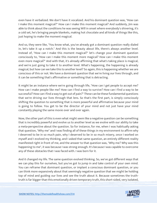even have it verbalized. We don't have it vocalized. And his dominant question was, "How can I make this moment magical?" How can I make this moment magical? And suddenly, Jim was able to think about the conditions he was seeing Will in onset where everybody's shivering, it's a cold set, he's bringing people blankets, making hot chocolate and all kinds of things like this, just hoping to make the moment magical.

And so, they were like, "You know what, you've already got a dominant question really dialed in, let's take it up a notch." And this is the beauty about life, there's always another level. Instead of, "How can I make this moment magical?" let's change your dominant question consciously to, "How can I make this moment more magical? How can I make this moment even more magical?" And with that, it's already affirming that what's taking place is magical, and we're just going to take it to another level. What's happening, the happening is already magical, but how can we take this to another level? So again, this is happening whether we are conscious of this or not. We have a dominant question that we're living our lives through, and it can be something that's affirmative or something that is detracting.

It might be an instance where we're going through life, "How can I get people to accept me? How can I make people like me? How can I find a way to survive? How can I find a way to be successful? How can I find a way to get out of pain?" These can be these fundamental questions that we're driving our lives through that lens. So that's the first part, is simply consciously shifting the question to something that is more powerful and affirmative because your mind is going to follow. You get to be the director of your mind and not just have your mind constantly playing the same movie over and over again.

Now, the other part of this is even what might seem like a negative question can be something that is incredibly powerful and evolve us to another level as we evolve with our ability to take a meta-perspective about the question. So for instance, for me, when I was habitually asking that question, "Why me" and I was finding all of these things in my environment to affirm why I deserved to be in so much pain, why I deserved to be in so much misery, once I worked on myself and I evolved my thinking, and I asked that same question, an entirely different reality manifested right in front of me, and the answer to that question was, "Why me? Why was this happening to me", it was because I was strong enough. It's because I was capable to overcome any of these obstacles that I was faced with. I was born for it.

And it changed my life. The same question evolved thinking. So, we've got different ways that we can play this for ourselves, but you've got to jump in and take control of your own mind. You can reframe that dominant question, or implant a conscious dominant question, or you can think more expansively about that seemingly negative question that we might be holding top of mind and guiding our lives and see the truth about it. Because sometimes the truthtruth is far bigger than this emotionally driven temporary truth, this short-sided, very isolated,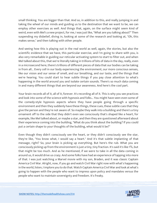small thinking. You are bigger than that. And so, in addition to this, and really jumping in and taking the wheel of our minds and guiding us to the destination that we want to be, we can employ other exercises as well. And things that, again, on the surface might seem kind of weird, even with Mel's a new project, for me, I was just like, "What are you talking about?" Then suspending my disbelief, diving in, looking at some of the research and looking at, "Oh, this makes sense," and then talking with other people.

And seeing how this is playing out in the real world as well, again, the stories, but also the scientific evidence that we have, this particular exercise, and I'm going to share with you, is also very remarkable in guiding our reticular activating system to start to filter out, and when Mel talked about this, that we're literally taking in trillions of bits of data in the day, really, even in a microsecond here, there's trillions of different pieces of data that our bodies can be taking in from all... Every cell in our body experiencing the environment, our more conscious senses, like our vision and our sense of smell, and our breathing, and our taste, and the things that we're hearing. You could start to hear subtle things if you pay close attention to what's happening in the world around you and isolate certain sounds. There's so much data coming in and many different things that are beyond our awareness. And here's the cool part.

Your brain records all of it, all of it, forever. It's recording all of it. This is why you see practices and look into some of the science with hypnosis and folks... You might have seen even some of the comedy-style hypnosis aspects where they have people going through a specific environment and then they suddenly have these things, these cues, these subtle cues that they give the person and they're not aware of. So maybe they walk into a building and there's a tiny ornament off to the side that they didn't even see consciously that's shaped like a heart, for example, like Mel talked about, or maybe a star, and then they are questioned afterward about their experience coming into the building, "What do you think about the building? If you could put a certain shape to your thoughts of the building, what would it be?"

Even though they didn't consciously see the heart, or they didn't consciously see the star, they're like, "You know what, I would say a heart." And it's that subtle implanting of that message, right? So, your brain is picking up everything. But here's the rub. What you are consciously picking up from the environment is just a tiny, tiny fraction. It's said it's like 1%, but that might be too much. And as he mentioned, if we were to take in all the data coming in around us, it would drive us crazy. And some folks have had an experience of tapping into more of that. I was just watching a Marvel movie with my son, Braden, and it was classic Captain America Civil War. Alright, now, if you go and watch Civil War right now with what's happening in the world, listen, I implore you to do that. Watch Captain America Civil War and look at what's going to happen with the people who want to impress upon policy and mandates versus the people who want to maintain sovereignty and freedom. It's freaky.

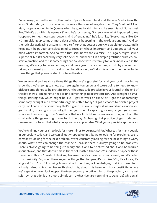But anyways, within the movie, this is when Spider-Man is introduced, the new Spider-Man, the latest Spider-Man, and his character, he wears these weird goggles when Tony Stark, AKA Iron Man, happens upon him in Queens when he goes to visit him and he sees his outfit, he's just like, "What's up with this eyewear?" And he's just saying, "Listen, since what happened to me happened to me, these superpower's kind of engaging," he's just like, "Everything is like 10X HD. I'm picking up so much more data of what's happening in the world around me." And so, the reticular activating system is there to filter that, because truly, we would go crazy. And it helps us, it helps your conscious mind to focus on what's important and you get to tell your mind what's important. And so, with that said, here's the exercise. This, again, might sound superficial, but it's backed by very solid science, and what it is a simple gratitude practice. You start a practice, and this is something that I've done with my family for years now, even in the evening, it's going to be something you do as a group or something you do by yourself and taking a moment just to write down or to talk about, we'll do this around the dinner table, three things that you're grateful for from the day.

We go around and we share three things that we're grateful for. And your brain, our brains know that we're going to show up, here again, tomorrow and we're going to need to know, pick up some things to be grateful for. Or that gratitude practice in your journal at the end of the day knows, "I'm going to need to find some things to be grateful for." And it might be small things starting out, which might be like, "I got to work on time," or "I got the opportunity, somebody brought me a wonderful organic coffee today." "I got a chance to finish a project early," or it can also be something that's big and luxurious, maybe it was a certain vacation you got to take, or you got a special gift that you weren't expecting, or maybe you got a raise, whatever the case might be. Something that is a little bit more visceral or poignant than the small subtle things we might look for in the day. So having that practice of gratitude. And remember this term, that what you appreciate appreciates. What you appreciate appreciates.

You're training your brain to look for more things to be grateful for. Whereas for many people in our society today, and we can all get wrapped up in this, we're looking for problems. We're constantly looking for the next problem. We're constantly looking for the next thing to worry about. What if we can change the channel? Because there is always going to be problems. There's always going to be things to worry about and to be stressed about and be worried about always, and that doesn't make them not matter, that doesn't suddenly disappear those things. And this isn't wishful thinking. Because there's a new term being used, and it's called toxic positivity. So, when these negative things that happen, it's just like, "Oh, it's all love, it's all good." Is it? Is it? It's being honest about the thing, acknowledging that it's there. And I actually talked to Michael Beckwith about this, about this term with toxic positivity, where we're speaking over, looking past the tremendously negative thing or the problem, and he just said, "Oh, that's denial." It's just a simple term. What river are you trying to travel up? Oh, denial,

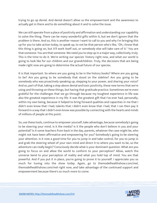trying to go up denial. And denial doesn't allow us the empowerment and the awareness to actually get in there and to do something about it and to solve the issue.

We can still operate from a place of positivity and affirmation and understanding our capability to solve the thing. There can be many wonderful gifts within it, but we don't ignore that the problem is there. And so, this is another reason I want to call to you and why I'm bringing this up for you to take action today, to speak up, to not be that person who's like, "Oh, I know that this thing is going on, but it'll work itself out, or somebody else will take care of it." You are that someone. You are that someone. We need you to step up in a major way, collectively, truly. This is the time to do it. We're writing our species' history right now, and what our world is going to look like for our children and our grandchildren. Truly, the decisions that are being made right now are going to determine the actual future of our species.

It is that important. So where are you going to be in the history books? Where are you going to be? Are you going to be somebody that stood on the sideline? Are you going to be somebody who was proactively speaking up, stepping to your power, and sharing your voice? And so, part of that, taking a step above denial and toxic positivity, these new terms that we're using and throwing on these things, but having that gratitude practice. Sometimes we're even grateful for the challenges that we go through because my toughest experience in life was also the greatest experience in my life. It was the greatest gift that I've ever had, personally, within my own being, because it helped to bring forward qualities and capacities in me that I didn't even know that I had, talents that I didn't even know that I had, that I can then pay it forward in a way that I didn't even know was possible by connecting with the hearts and minds of millions of people at this point.

So, use these tools, continue to empower yourself, take advantage, because somebody's going to be steering your mind. Is it the media? Is it the people who don't believe in you and your potential? Is it some teachers from back in the day, parents, whatever the case might be, who might not have been affirmative and empowering for you? Somebody's going to be steering your attention. Is it now a good time for you to jump in and take control, for you to jump in and grab the steering wheel of your own mind and direct it to where you want to be, so the adventure can really begin? Consciously decide what is your dominant question. What are you going to focus on and allow the world to conform to your perception? Allow, watch the universe bend to your perception of reality and what you hold top of mind. You are that powerful. And if you put it in place, you're going to prove it to yourself. I appreciate you so much for tuning into the show today. Again, go to themodelhealthshow.com/mel, themodelhealthshow.com/mel right now, and take advantage of the continued support and empowerment because there's so much more to come.